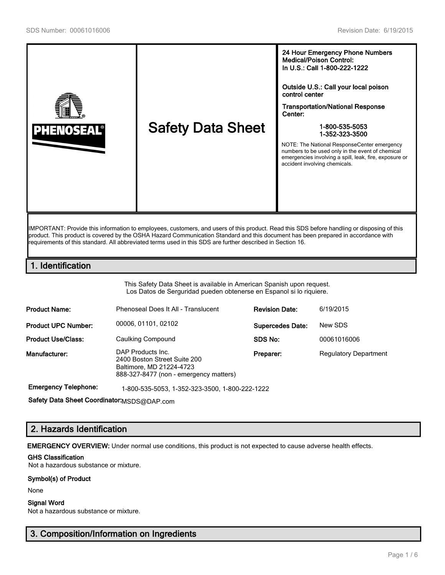

IMPORTANT: Provide this information to employees, customers, and users of this product. Read this SDS before handling or disposing of this product. This product is covered by the OSHA Hazard Communication Standard and this document has been prepared in accordance with requirements of this standard. All abbreviated terms used in this SDS are further described in Section 16.

# 1. Identification

This Safety Data Sheet is available in American Spanish upon request. Los Datos de Serguridad pueden obtenerse en Espanol si lo riquiere.

| <b>Product Name:</b>       | Phenoseal Does It All - Translucent                                                                                     | <b>Revision Date:</b>   | 6/19/2015                    |
|----------------------------|-------------------------------------------------------------------------------------------------------------------------|-------------------------|------------------------------|
| <b>Product UPC Number:</b> | 00006, 01101, 02102                                                                                                     | <b>Supercedes Date:</b> | New SDS                      |
| <b>Product Use/Class:</b>  | Caulking Compound                                                                                                       | SDS No:                 | 00061016006                  |
| Manufacturer:              | DAP Products Inc.<br>2400 Boston Street Suite 200<br>Baltimore, MD 21224-4723<br>888-327-8477 (non - emergency matters) | Preparer:               | <b>Regulatory Department</b> |

Emergency Telephone: 1-800-535-5053, 1-352-323-3500, 1-800-222-1222

Safety Data Sheet Coordinator: MSDS@DAP.com

# 2. Hazards Identification

EMERGENCY OVERVIEW: Under normal use conditions, this product is not expected to cause adverse health effects.

## GHS Classification

Not a hazardous substance or mixture.

#### Symbol(s) of Product

None

#### Signal Word

Not a hazardous substance or mixture.

# 3. Composition/Information on Ingredients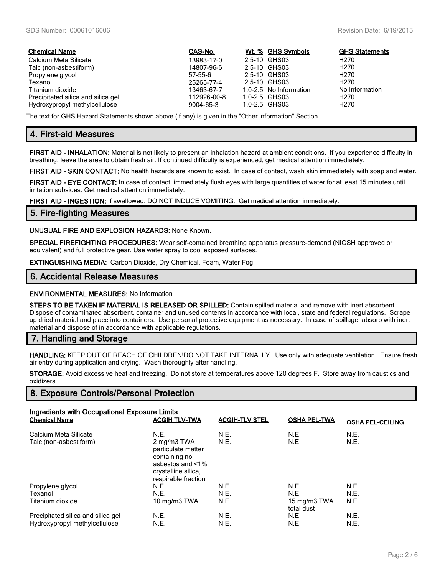| <b>Chemical Name</b>               | CAS-No.     | Wt. % GHS Symbols      | <b>GHS Statements</b> |
|------------------------------------|-------------|------------------------|-----------------------|
| Calcium Meta Silicate              | 13983-17-0  | 2.5-10 GHS03           | H270                  |
| Talc (non-asbestiform)             | 14807-96-6  | 2.5-10 GHS03           | H <sub>270</sub>      |
| Propylene glycol                   | 57-55-6     | 2.5-10 GHS03           | H <sub>270</sub>      |
| Texanol                            | 25265-77-4  | 2.5-10 GHS03           | H <sub>270</sub>      |
| Titanium dioxide                   | 13463-67-7  | 1.0-2.5 No Information | No Information        |
| Precipitated silica and silica gel | 112926-00-8 | 1.0-2.5 GHS03          | H270                  |
| Hydroxypropyl methylcellulose      | 9004-65-3   | 1.0-2.5 GHS03          | H <sub>270</sub>      |

The text for GHS Hazard Statements shown above (if any) is given in the "Other information" Section.

# 4. First-aid Measures

FIRST AID - INHALATION: Material is not likely to present an inhalation hazard at ambient conditions. If you experience difficulty in breathing, leave the area to obtain fresh air. If continued difficulty is experienced, get medical attention immediately.

FIRST AID - SKIN CONTACT: No health hazards are known to exist. In case of contact, wash skin immediately with soap and water.

FIRST AID - EYE CONTACT: In case of contact, immediately flush eyes with large quantities of water for at least 15 minutes until irritation subsides. Get medical attention immediately.

FIRST AID - INGESTION: If swallowed, DO NOT INDUCE VOMITING. Get medical attention immediately.

## 5. Fire-fighting Measures

UNUSUAL FIRE AND EXPLOSION HAZARDS: None Known.

SPECIAL FIREFIGHTING PROCEDURES: Wear self-contained breathing apparatus pressure-demand (NIOSH approved or equivalent) and full protective gear. Use water spray to cool exposed surfaces.

EXTINGUISHING MEDIA: Carbon Dioxide, Dry Chemical, Foam, Water Fog

## 6. Accidental Release Measures

#### ENVIRONMENTAL MEASURES: No Information

STEPS TO BE TAKEN IF MATERIAL IS RELEASED OR SPILLED: Contain spilled material and remove with inert absorbent. Dispose of contaminated absorbent, container and unused contents in accordance with local, state and federal regulations. Scrape up dried material and place into containers. Use personal protective equipment as necessary. In case of spillage, absorb with inert material and dispose of in accordance with applicable regulations.

## 7. Handling and Storage

HANDLING: KEEP OUT OF REACH OF CHILDREN!DO NOT TAKE INTERNALLY. Use only with adequate ventilation. Ensure fresh air entry during application and drying. Wash thoroughly after handling.

STORAGE: Avoid excessive heat and freezing. Do not store at temperatures above 120 degrees F. Store away from caustics and oxidizers.

## 8. Exposure Controls/Personal Protection

| Ingredients with Occupational Exposure Limits<br><b>Chemical Name</b> | <b>OSHA PEL-CEILING</b>                                        |              |                            |              |
|-----------------------------------------------------------------------|----------------------------------------------------------------|--------------|----------------------------|--------------|
| Calcium Meta Silicate<br>Talc (non-asbestiform)                       | N.E.<br>2 mg/m3 TWA<br>particulate matter<br>containing no     | N.E.<br>N.E. | N.E.<br>N.E.               | N.E.<br>N.E. |
|                                                                       | asbestos and <1%<br>crystalline silica.<br>respirable fraction |              |                            |              |
| Propylene glycol                                                      | N.E.                                                           | N.E.         | N.E.                       | N.E.         |
| Texanol                                                               | N.E.                                                           | N.E.         | N.E.                       | N.E.         |
| Titanium dioxide                                                      | 10 mg/m3 TWA                                                   | N.E.         | 15 mg/m3 TWA<br>total dust | N.E.         |
| Precipitated silica and silica gel                                    | N.E.                                                           | N.E.         | N.E.                       | N.E.         |
| Hydroxypropyl methylcellulose                                         | N.E.                                                           | N.E.         | N.E.                       | N.E.         |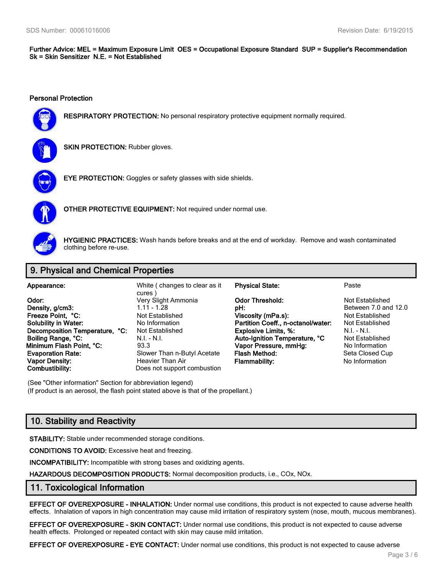Further Advice: MEL = Maximum Exposure Limit OES = Occupational Exposure Standard SUP = Supplier's Recommendation Sk = Skin Sensitizer N.E. = Not Established

#### Personal Protection



RESPIRATORY PROTECTION: No personal respiratory protective equipment normally required.



**SKIN PROTECTION: Rubber gloves.** 



EYE PROTECTION: Goggles or safety glasses with side shields.



OTHER PROTECTIVE EQUIPMENT: Not required under normal use.



HYGIENIC PRACTICES: Wash hands before breaks and at the end of workday. Remove and wash contaminated clothing before re-use.

# 9. Physical and Chemical Properties

| Appearance:                    | White (changes to clear as it<br>cures) | <b>Physical State:</b>             | Paste                |
|--------------------------------|-----------------------------------------|------------------------------------|----------------------|
| Odor:                          | Very Slight Ammonia                     | <b>Odor Threshold:</b>             | Not Established      |
| Density, g/cm3:                | 1.11 - 1.28                             | pH:                                | Between 7.0 and 12.0 |
| Freeze Point. °C:              | Not Established                         | Viscosity (mPa.s):                 | Not Established      |
| <b>Solubility in Water:</b>    | No Information                          | Partition Coeff., n-octanol/water: | Not Established      |
| Decomposition Temperature, °C: | Not Established                         | <b>Explosive Limits, %:</b>        | $N.I. - N.I.$        |
| Boiling Range, °C:             | $N.I. - N.I.$                           | Auto-Ignition Temperature, °C      | Not Established      |
| Minimum Flash Point, °C:       | 93.3                                    | Vapor Pressure, mmHg:              | No Information       |
| <b>Evaporation Rate:</b>       | Slower Than n-Butyl Acetate             | <b>Flash Method:</b>               | Seta Closed Cup      |
| <b>Vapor Density:</b>          | Heavier Than Air                        | <b>Flammability:</b>               | No Information       |
| Combustibility:                | Does not support combustion             |                                    |                      |

(See "Other information" Section for abbreviation legend) (If product is an aerosol, the flash point stated above is that of the propellant.)

# 10. Stability and Reactivity

STABILITY: Stable under recommended storage conditions.

CONDITIONS TO AVOID: Excessive heat and freezing.

INCOMPATIBILITY: Incompatible with strong bases and oxidizing agents.

HAZARDOUS DECOMPOSITION PRODUCTS: Normal decomposition products, i.e., COx, NOx.

## 11. Toxicological Information

EFFECT OF OVEREXPOSURE - INHALATION: Under normal use conditions, this product is not expected to cause adverse health effects. Inhalation of vapors in high concentration may cause mild irritation of respiratory system (nose, mouth, mucous membranes).

EFFECT OF OVEREXPOSURE - SKIN CONTACT: Under normal use conditions, this product is not expected to cause adverse health effects. Prolonged or repeated contact with skin may cause mild irritation.

EFFECT OF OVEREXPOSURE - EYE CONTACT: Under normal use conditions, this product is not expected to cause adverse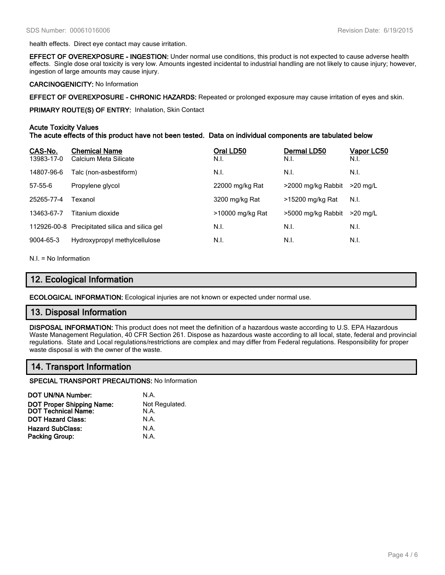health effects. Direct eye contact may cause irritation.

EFFECT OF OVEREXPOSURE - INGESTION: Under normal use conditions, this product is not expected to cause adverse health effects. Single dose oral toxicity is very low. Amounts ingested incidental to industrial handling are not likely to cause injury; however, ingestion of large amounts may cause injury.

#### CARCINOGENICITY: No Information

EFFECT OF OVEREXPOSURE - CHRONIC HAZARDS: Repeated or prolonged exposure may cause irritation of eyes and skin.

PRIMARY ROUTE(S) OF ENTRY: Inhalation, Skin Contact

### Acute Toxicity Values

The acute effects of this product have not been tested. Data on individual components are tabulated below

| CAS-No.<br>13983-17-0 | <b>Chemical Name</b><br>Calcium Meta Silicate  | Oral LD50<br>N.I. | Dermal LD50<br>N.I. | Vapor LC50<br>N.I. |
|-----------------------|------------------------------------------------|-------------------|---------------------|--------------------|
| 14807-96-6            | Talc (non-asbestiform)                         | N.I.              | N.I.                | N.I.               |
| $57 - 55 - 6$         | Propylene glycol                               | 22000 mg/kg Rat   | >2000 mg/kg Rabbit  | $>20$ mg/L         |
| 25265-77-4            | Texanol                                        | 3200 mg/kg Rat    | >15200 mg/kg Rat    | N.I.               |
| 13463-67-7            | Titanium dioxide                               | >10000 mg/kg Rat  | >5000 mg/kg Rabbit  | $>20$ ma/L         |
|                       | 112926-00-8 Precipitated silica and silica gel | N.I.              | N.I.                | N.I.               |
| 9004-65-3             | Hydroxypropyl methylcellulose                  | N.I.              | N.I.                | N.I.               |

N.I. = No Information

## 12. Ecological Information

ECOLOGICAL INFORMATION: Ecological injuries are not known or expected under normal use.

## 13. Disposal Information

DISPOSAL INFORMATION: This product does not meet the definition of a hazardous waste according to U.S. EPA Hazardous Waste Management Regulation, 40 CFR Section 261. Dispose as hazardous waste according to all local, state, federal and provincial regulations. State and Local regulations/restrictions are complex and may differ from Federal regulations. Responsibility for proper waste disposal is with the owner of the waste.

# 14. Transport Information

SPECIAL TRANSPORT PRECAUTIONS: No Information

| <b>DOT UN/NA Number:</b>                         | N.A.                   |
|--------------------------------------------------|------------------------|
| DOT Proper Shipping Name:<br>DOT Technical Name: | Not Regulated.<br>N.A. |
| <b>DOT Hazard Class:</b>                         | N.A.                   |
| <b>Hazard SubClass:</b>                          | N.A.                   |
| <b>Packing Group:</b>                            | N.A.                   |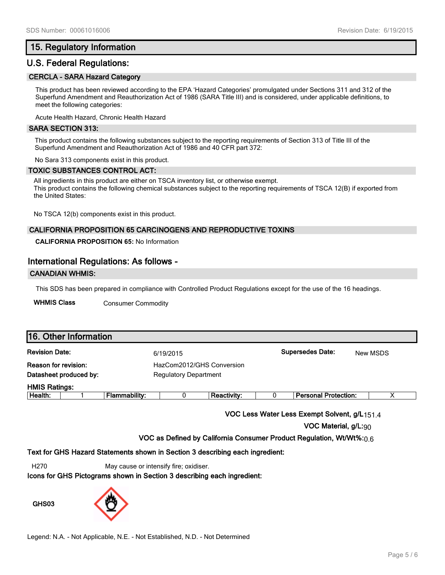## 15. Regulatory Information

# U.S. Federal Regulations:

### CERCLA - SARA Hazard Category

This product has been reviewed according to the EPA 'Hazard Categories' promulgated under Sections 311 and 312 of the Superfund Amendment and Reauthorization Act of 1986 (SARA Title III) and is considered, under applicable definitions, to meet the following categories:

Acute Health Hazard, Chronic Health Hazard

#### SARA SECTION 313:

This product contains the following substances subject to the reporting requirements of Section 313 of Title III of the Superfund Amendment and Reauthorization Act of 1986 and 40 CFR part 372:

No Sara 313 components exist in this product.

#### TOXIC SUBSTANCES CONTROL ACT:

All ingredients in this product are either on TSCA inventory list, or otherwise exempt. This product contains the following chemical substances subject to the reporting requirements of TSCA 12(B) if exported from the United States:

No TSCA 12(b) components exist in this product.

### CALIFORNIA PROPOSITION 65 CARCINOGENS AND REPRODUCTIVE TOXINS

**CALIFORNIA PROPOSITION 65:** No Information

## International Regulations: As follows -

#### CANADIAN WHMIS:

This SDS has been prepared in compliance with Controlled Product Regulations except for the use of the 16 headings.

WHMIS Class Consumer Commodity

| 16. Other Information       |                        |               |                              |                           |  |                             |          |
|-----------------------------|------------------------|---------------|------------------------------|---------------------------|--|-----------------------------|----------|
| <b>Revision Date:</b>       |                        |               | 6/19/2015                    |                           |  | <b>Supersedes Date:</b>     | New MSDS |
| <b>Reason for revision:</b> |                        |               |                              | HazCom2012/GHS Conversion |  |                             |          |
|                             | Datasheet produced by: |               | <b>Regulatory Department</b> |                           |  |                             |          |
| <b>HMIS Ratings:</b>        |                        |               |                              |                           |  |                             |          |
| Health:                     |                        | Flammability: |                              | <b>Reactivity:</b>        |  | <b>Personal Protection:</b> | v        |

VOC Less Water Less Exempt Solvent, g/L151.4

VOC Material, g/L:90

VOC as Defined by California Consumer Product Regulation, Wt/Wt%: $0.6$ 

#### Text for GHS Hazard Statements shown in Section 3 describing each ingredient:

H270 May cause or intensify fire; oxidiser.

Icons for GHS Pictograms shown in Section 3 describing each ingredient:

GHS03